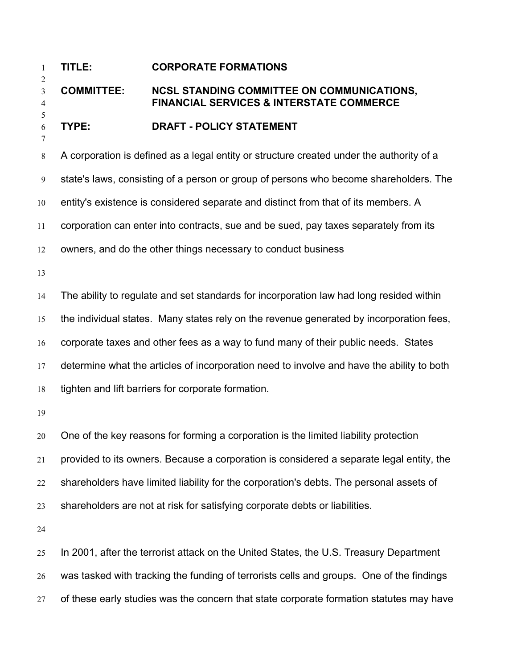## **TITLE: CORPORATE FORMATIONS**

## **COMMITTEE: NCSL STANDING COMMITTEE ON COMMUNICATIONS, FINANCIAL SERVICES & INTERSTATE COMMERCE**

## **TYPE: DRAFT - POLICY STATEMENT**

A corporation is defined as a legal entity or structure created under the authority of a

state's laws, consisting of a person or group of persons who become shareholders. The

entity's existence is considered separate and distinct from that of its members. A

corporation can enter into contracts, sue and be sued, pay taxes separately from its

owners, and do the other things necessary to conduct business

The ability to regulate and set standards for incorporation law had long resided within

the individual states. Many states rely on the revenue generated by incorporation fees,

corporate taxes and other fees as a way to fund many of their public needs. States

17 determine what the articles of incorporation need to involve and have the ability to both

tighten and lift barriers for corporate formation.

One of the key reasons for forming a corporation is the limited liability protection provided to its owners. Because a corporation is considered a separate legal entity, the shareholders have limited liability for the corporation's debts. The personal assets of shareholders are not at risk for satisfying corporate debts or liabilities.

In 2001, after the terrorist attack on the United States, the U.S. Treasury Department was tasked with tracking the funding of terrorists cells and groups. One of the findings 27 of these early studies was the concern that state corporate formation statutes may have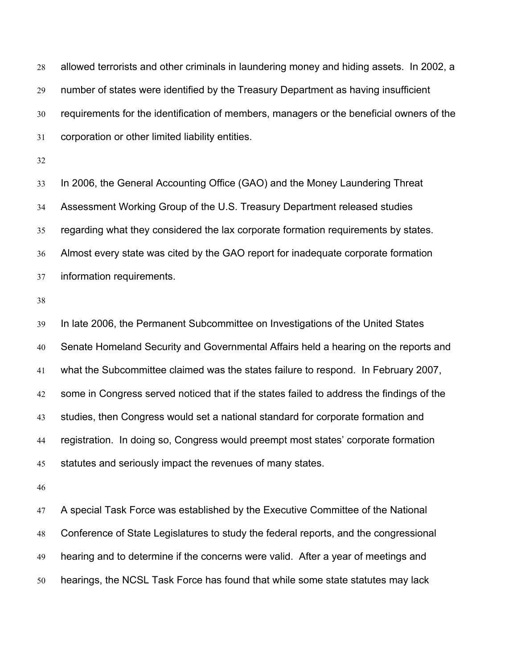allowed terrorists and other criminals in laundering money and hiding assets. In 2002, a number of states were identified by the Treasury Department as having insufficient requirements for the identification of members, managers or the beneficial owners of the corporation or other limited liability entities.

In 2006, the General Accounting Office (GAO) and the Money Laundering Threat Assessment Working Group of the U.S. Treasury Department released studies regarding what they considered the lax corporate formation requirements by states. Almost every state was cited by the GAO report for inadequate corporate formation information requirements.

In late 2006, the Permanent Subcommittee on Investigations of the United States Senate Homeland Security and Governmental Affairs held a hearing on the reports and what the Subcommittee claimed was the states failure to respond. In February 2007, some in Congress served noticed that if the states failed to address the findings of the studies, then Congress would set a national standard for corporate formation and registration. In doing so, Congress would preempt most states' corporate formation 45 statutes and seriously impact the revenues of many states.

A special Task Force was established by the Executive Committee of the National Conference of State Legislatures to study the federal reports, and the congressional hearing and to determine if the concerns were valid. After a year of meetings and hearings, the NCSL Task Force has found that while some state statutes may lack